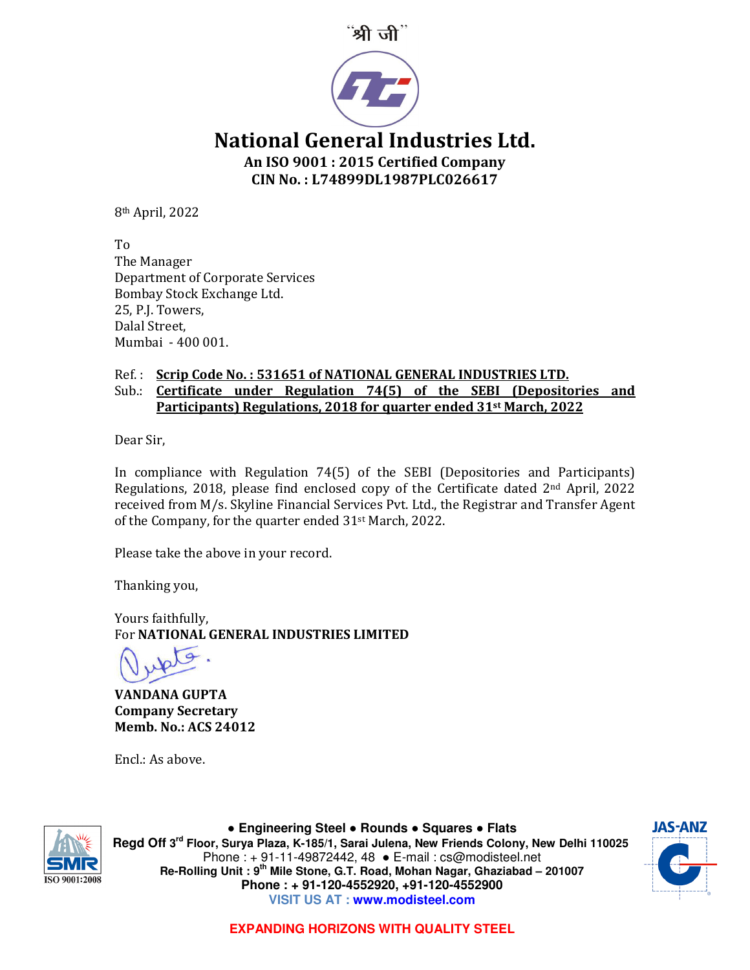



National General Industries Ltd. An ISO 9001 : 2015 Certified Company CIN No. : L74899DL1987PLC026617

8th April, 2022

To The Manager Department of Corporate Services Bombay Stock Exchange Ltd. 25, P.J. Towers, Dalal Street, Mumbai - 400 001.

## Ref.: Scrip Code No.: 531651 of NATIONAL GENERAL INDUSTRIES LTD.

## Sub.: Certificate under Regulation 74(5) of the SEBI (Depositories and Participants) Regulations, 2018 for quarter ended 31st March, 2022

Dear Sir,

In compliance with Regulation 74(5) of the SEBI (Depositories and Participants) Regulations, 2018, please find enclosed copy of the Certificate dated 2nd April, 2022 received from M/s. Skyline Financial Services Pvt. Ltd., the Registrar and Transfer Agent of the Company, for the quarter ended 31st March, 2022.

Please take the above in your record.

Thanking you,

Yours faithfully, For NATIONAL GENERAL INDUSTRIES LIMITED

VANDANA GUPTA Company Secretary Memb. No.: ACS 24012

Encl.: As above.



● **Engineering Steel** ● **Rounds** ● **Squares** ● **Flats Regd Off 3rd Floor, Surya Plaza, K-185/1, Sarai Julena, New Friends Colony, New Delhi 110025** Phone : + 91-11-49872442, 48 ● E-mail : cs@modisteel.net **Re-Rolling Unit : 9th Mile Stone, G.T. Road, Mohan Nagar, Ghaziabad – 201007 Phone : + 91-120-4552920, +91-120-4552900 VISIT US AT : www.modisteel.com**